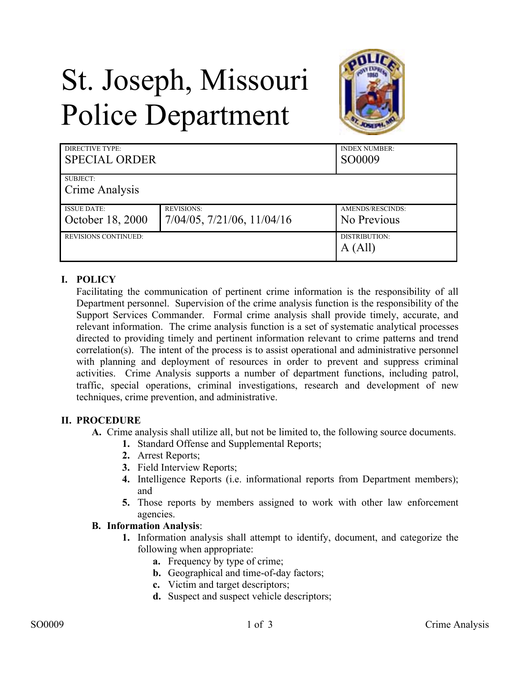# St. Joseph, Missouri Police Department



| DIRECTIVE TYPE:<br><b>SPECIAL ORDER</b> |                                    | <b>INDEX NUMBER:</b><br>SO0009 |
|-----------------------------------------|------------------------------------|--------------------------------|
| SUBJECT:                                |                                    |                                |
| Crime Analysis                          |                                    |                                |
| <b>ISSUE DATE:</b>                      | <b>REVISIONS:</b>                  | AMENDS/RESCINDS:               |
| October 18, 2000                        | $7/04/05$ , $7/21/06$ , $11/04/16$ | No Previous                    |
| <b>REVISIONS CONTINUED:</b>             |                                    | DISTRIBUTION:                  |
|                                         |                                    | A (All)                        |

## **I. POLICY**

Facilitating the communication of pertinent crime information is the responsibility of all Department personnel. Supervision of the crime analysis function is the responsibility of the Support Services Commander. Formal crime analysis shall provide timely, accurate, and relevant information. The crime analysis function is a set of systematic analytical processes directed to providing timely and pertinent information relevant to crime patterns and trend correlation(s). The intent of the process is to assist operational and administrative personnel with planning and deployment of resources in order to prevent and suppress criminal activities. Crime Analysis supports a number of department functions, including patrol, traffic, special operations, criminal investigations, research and development of new techniques, crime prevention, and administrative.

### **II. PROCEDURE**

- **A.** Crime analysis shall utilize all, but not be limited to, the following source documents.
	- **1.** Standard Offense and Supplemental Reports;
		- **2.** Arrest Reports;
		- **3.** Field Interview Reports;
		- **4.** Intelligence Reports (i.e. informational reports from Department members); and
		- **5.** Those reports by members assigned to work with other law enforcement agencies.

### **B. Information Analysis**:

- **1.** Information analysis shall attempt to identify, document, and categorize the following when appropriate:
	- **a.** Frequency by type of crime;
	- **b.** Geographical and time-of-day factors;
	- **c.** Victim and target descriptors;
	- **d.** Suspect and suspect vehicle descriptors;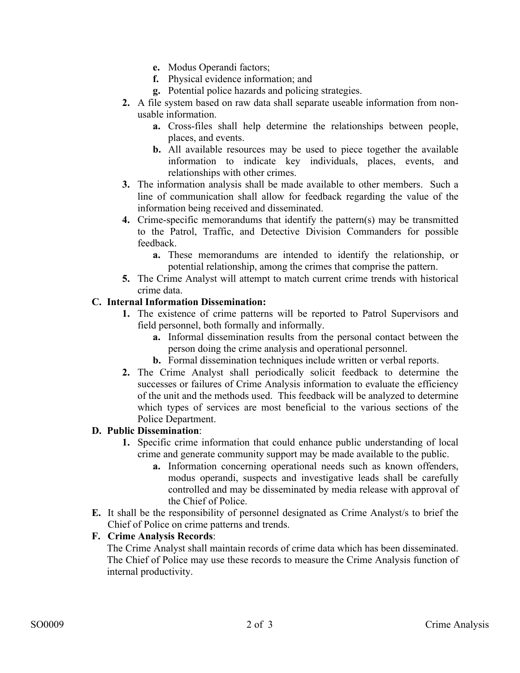- **e.** Modus Operandi factors;
- **f.** Physical evidence information; and
- **g.** Potential police hazards and policing strategies.
- **2.** A file system based on raw data shall separate useable information from nonusable information.
	- **a.** Cross-files shall help determine the relationships between people, places, and events.
	- **b.** All available resources may be used to piece together the available information to indicate key individuals, places, events, and relationships with other crimes.
- **3.** The information analysis shall be made available to other members. Such a line of communication shall allow for feedback regarding the value of the information being received and disseminated.
- **4.** Crime-specific memorandums that identify the pattern(s) may be transmitted to the Patrol, Traffic, and Detective Division Commanders for possible feedback.
	- **a.** These memorandums are intended to identify the relationship, or potential relationship, among the crimes that comprise the pattern.
- **5.** The Crime Analyst will attempt to match current crime trends with historical crime data.

### **C. Internal Information Dissemination:**

- **1.** The existence of crime patterns will be reported to Patrol Supervisors and field personnel, both formally and informally.
	- **a.** Informal dissemination results from the personal contact between the person doing the crime analysis and operational personnel.
	- **b.** Formal dissemination techniques include written or verbal reports.
- **2.** The Crime Analyst shall periodically solicit feedback to determine the successes or failures of Crime Analysis information to evaluate the efficiency of the unit and the methods used. This feedback will be analyzed to determine which types of services are most beneficial to the various sections of the Police Department.

### **D. Public Dissemination**:

- **1.** Specific crime information that could enhance public understanding of local crime and generate community support may be made available to the public.
	- **a.** Information concerning operational needs such as known offenders, modus operandi, suspects and investigative leads shall be carefully controlled and may be disseminated by media release with approval of the Chief of Police.
- **E.** It shall be the responsibility of personnel designated as Crime Analyst/s to brief the Chief of Police on crime patterns and trends.

### **F. Crime Analysis Records**:

The Crime Analyst shall maintain records of crime data which has been disseminated. The Chief of Police may use these records to measure the Crime Analysis function of internal productivity.